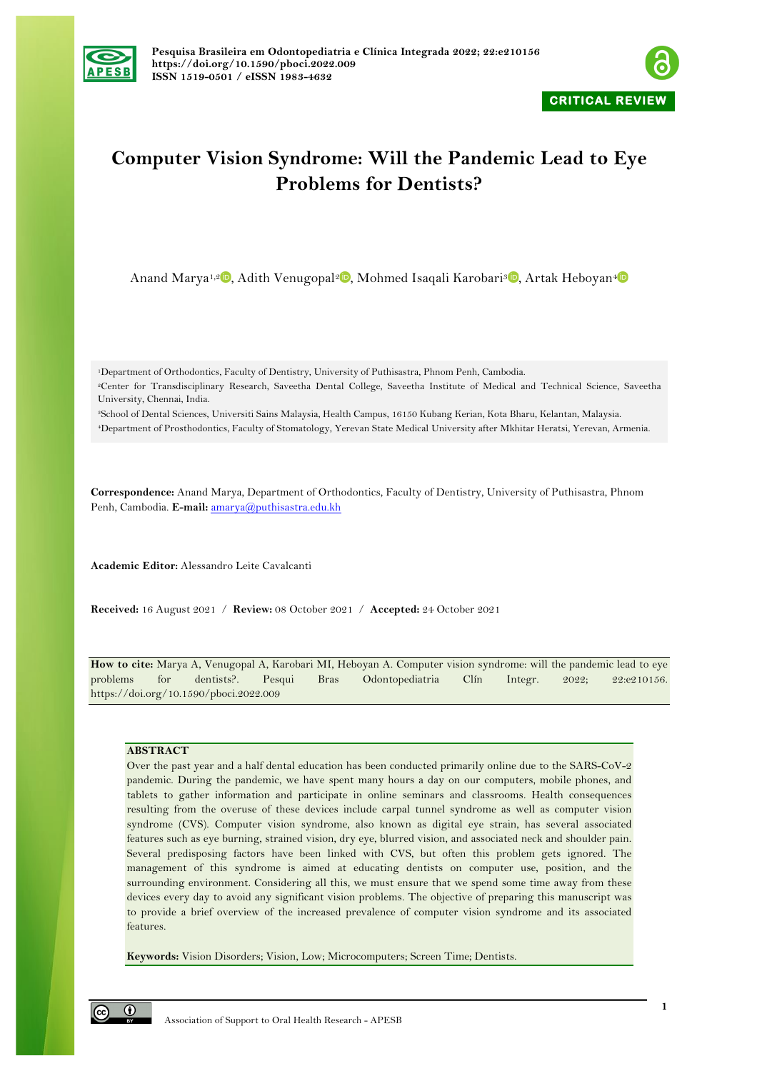



# **Computer Vision Syndrome: Will the Pandemic Lead to Eye Problems for Dentists?**

Anand Marya<sup>1[,](https://orcid.org/0000-0002-0313-9695)2</sup> , Adith Venugopal<sup>2</sup> , Mohmed Isaqali Karobari<sup>3</sup> , Artak Heboyan<sup>[4](https://orcid.org/0000-0001-8329-3205)</sup>

1Department of Orthodontics, Faculty of Dentistry, University of Puthisastra, Phnom Penh, Cambodia.

2Center for Transdisciplinary Research, Saveetha Dental College, Saveetha Institute of Medical and Technical Science, Saveetha University, Chennai, India.

3School of Dental Sciences, Universiti Sains Malaysia, Health Campus, 16150 Kubang Kerian, Kota Bharu, Kelantan, Malaysia. 4Department of Prosthodontics, Faculty of Stomatology, Yerevan State Medical University after Mkhitar Heratsi, Yerevan, Armenia.

**Correspondence:** Anand Marya, Department of Orthodontics, Faculty of Dentistry, University of Puthisastra, Phnom Penh, Cambodia. **E-mail:** amarya@puthisastra.edu.kh

**Academic Editor:** Alessandro Leite Cavalcanti

**Received:** 16 August 2021 / **Review:** 08 October 2021 / **Accepted:** 24 October 2021

**How to cite:** Marya A, Venugopal A, Karobari MI, Heboyan A. Computer vision syndrome: will the pandemic lead to eye problems for dentists?. Pesqui Bras Odontopediatria Clín Integr. 2022; 22:e210156. https://doi.org/10.1590/pboci.2022.009

### **ABSTRACT**

Over the past year and a half dental education has been conducted primarily online due to the SARS-CoV-2 pandemic. During the pandemic, we have spent many hours a day on our computers, mobile phones, and tablets to gather information and participate in online seminars and classrooms. Health consequences resulting from the overuse of these devices include carpal tunnel syndrome as well as computer vision syndrome (CVS). Computer vision syndrome, also known as digital eye strain, has several associated features such as eye burning, strained vision, dry eye, blurred vision, and associated neck and shoulder pain. Several predisposing factors have been linked with CVS, but often this problem gets ignored. The management of this syndrome is aimed at educating dentists on computer use, position, and the surrounding environment. Considering all this, we must ensure that we spend some time away from these devices every day to avoid any significant vision problems. The objective of preparing this manuscript was to provide a brief overview of the increased prevalence of computer vision syndrome and its associated features.

**Keywords:** Vision Disorders; Vision, Low; Microcomputers; Screen Time; Dentists.

 $\odot$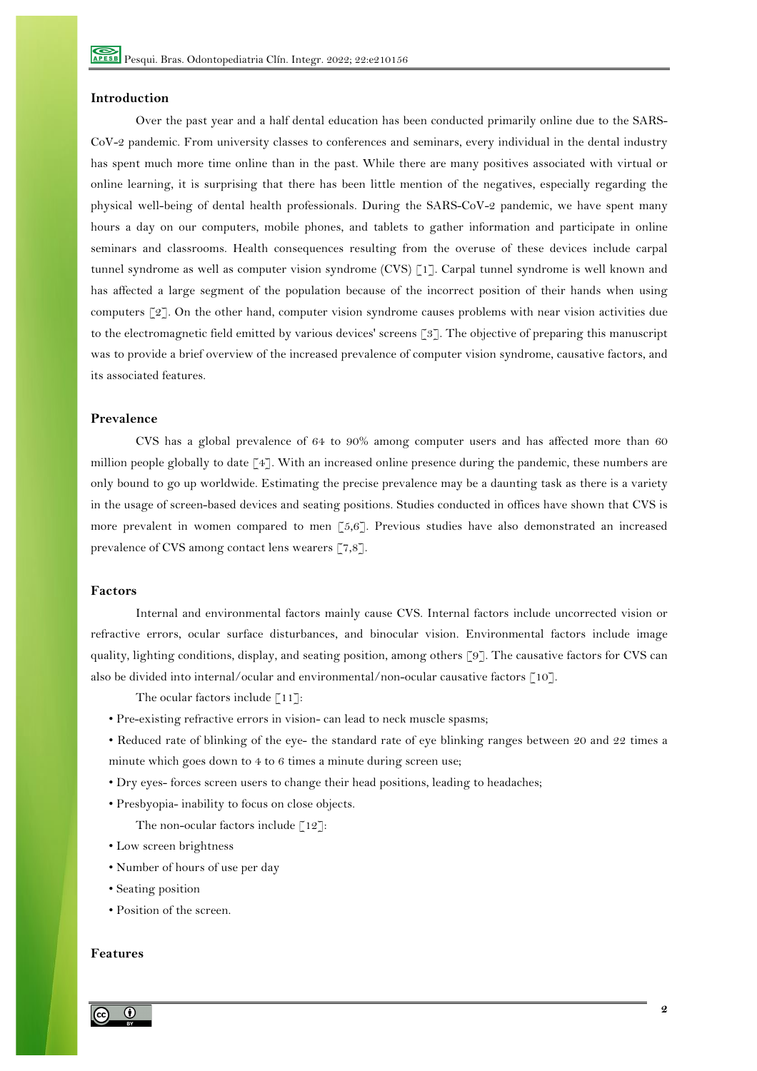### **Introduction**

Over the past year and a half dental education has been conducted primarily online due to the SARS-CoV-2 pandemic. From university classes to conferences and seminars, every individual in the dental industry has spent much more time online than in the past. While there are many positives associated with virtual or online learning, it is surprising that there has been little mention of the negatives, especially regarding the physical well-being of dental health professionals. During the SARS-CoV-2 pandemic, we have spent many hours a day on our computers, mobile phones, and tablets to gather information and participate in online seminars and classrooms. Health consequences resulting from the overuse of these devices include carpal tunnel syndrome as well as computer vision syndrome (CVS) [1]. Carpal tunnel syndrome is well known and has affected a large segment of the population because of the incorrect position of their hands when using computers [2]. On the other hand, computer vision syndrome causes problems with near vision activities due to the electromagnetic field emitted by various devices' screens [3]. The objective of preparing this manuscript was to provide a brief overview of the increased prevalence of computer vision syndrome, causative factors, and its associated features.

# **Prevalence**

CVS has a global prevalence of 64 to 90% among computer users and has affected more than 60 million people globally to date [4]. With an increased online presence during the pandemic, these numbers are only bound to go up worldwide. Estimating the precise prevalence may be a daunting task as there is a variety in the usage of screen-based devices and seating positions. Studies conducted in offices have shown that CVS is more prevalent in women compared to men [5,6]. Previous studies have also demonstrated an increased prevalence of CVS among contact lens wearers [7,8].

# **Factors**

Internal and environmental factors mainly cause CVS. Internal factors include uncorrected vision or refractive errors, ocular surface disturbances, and binocular vision. Environmental factors include image quality, lighting conditions, display, and seating position, among others [9]. The causative factors for CVS can also be divided into internal/ocular and environmental/non-ocular causative factors [10].

The ocular factors include [11]:

- Pre-existing refractive errors in vision- can lead to neck muscle spasms;
- Reduced rate of blinking of the eye- the standard rate of eye blinking ranges between 20 and 22 times a minute which goes down to 4 to 6 times a minute during screen use;
- Dry eyes- forces screen users to change their head positions, leading to headaches;
- Presbyopia- inability to focus on close objects.
	- The non-ocular factors include  $\lceil 12 \rceil$ :
- Low screen brightness
- Number of hours of use per day
- Seating position
- Position of the screen.

# **Features**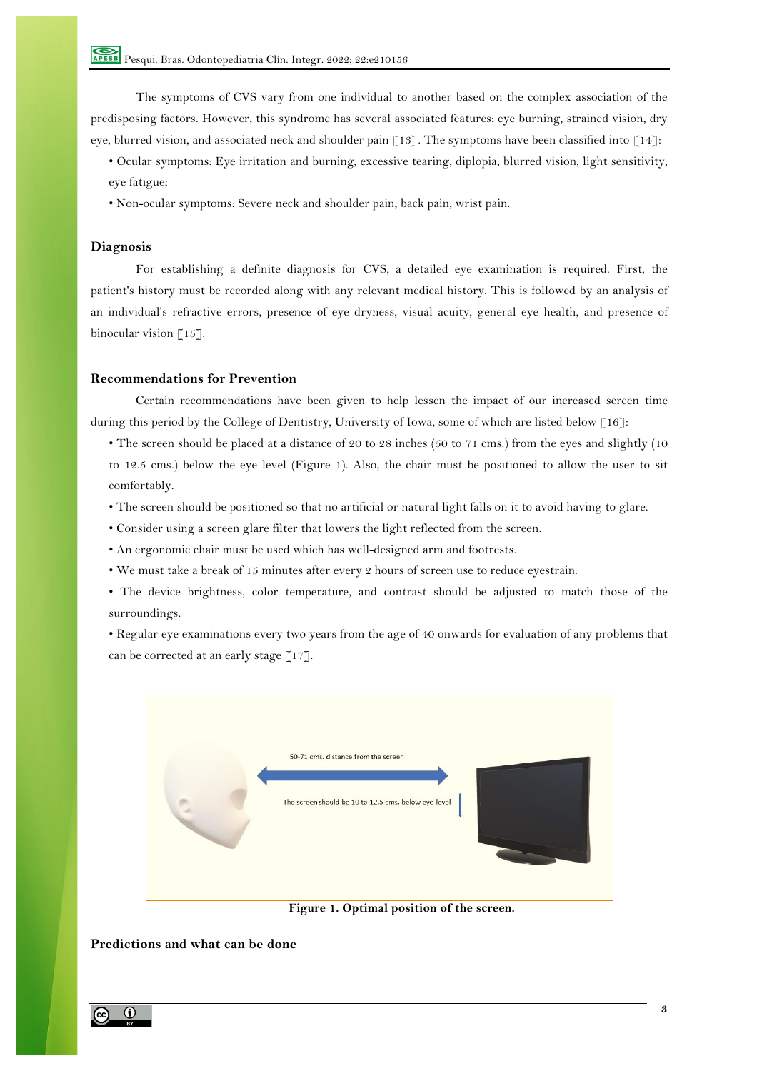The symptoms of CVS vary from one individual to another based on the complex association of the predisposing factors. However, this syndrome has several associated features: eye burning, strained vision, dry eye, blurred vision, and associated neck and shoulder pain  $\lceil 13 \rceil$ . The symptoms have been classified into  $\lceil 14 \rceil$ :

- Ocular symptoms: Eye irritation and burning, excessive tearing, diplopia, blurred vision, light sensitivity, eye fatigue;
- Non-ocular symptoms: Severe neck and shoulder pain, back pain, wrist pain.

# **Diagnosis**

For establishing a definite diagnosis for CVS, a detailed eye examination is required. First, the patient's history must be recorded along with any relevant medical history. This is followed by an analysis of an individual's refractive errors, presence of eye dryness, visual acuity, general eye health, and presence of binocular vision  $\lceil 15 \rceil$ .

### **Recommendations for Prevention**

Certain recommendations have been given to help lessen the impact of our increased screen time during this period by the College of Dentistry, University of Iowa, some of which are listed below [16]:

- The screen should be placed at a distance of 20 to 28 inches (50 to 71 cms.) from the eyes and slightly (10 to 12.5 cms.) below the eye level (Figure 1). Also, the chair must be positioned to allow the user to sit comfortably.
- The screen should be positioned so that no artificial or natural light falls on it to avoid having to glare.
- Consider using a screen glare filter that lowers the light reflected from the screen.
- An ergonomic chair must be used which has well-designed arm and footrests.
- We must take a break of 15 minutes after every 2 hours of screen use to reduce eyestrain.
- The device brightness, color temperature, and contrast should be adjusted to match those of the surroundings.

• Regular eye examinations every two years from the age of 40 onwards for evaluation of any problems that can be corrected at an early stage  $[17]$ .



**Figure 1. Optimal position of the screen.**

# **Predictions and what can be done**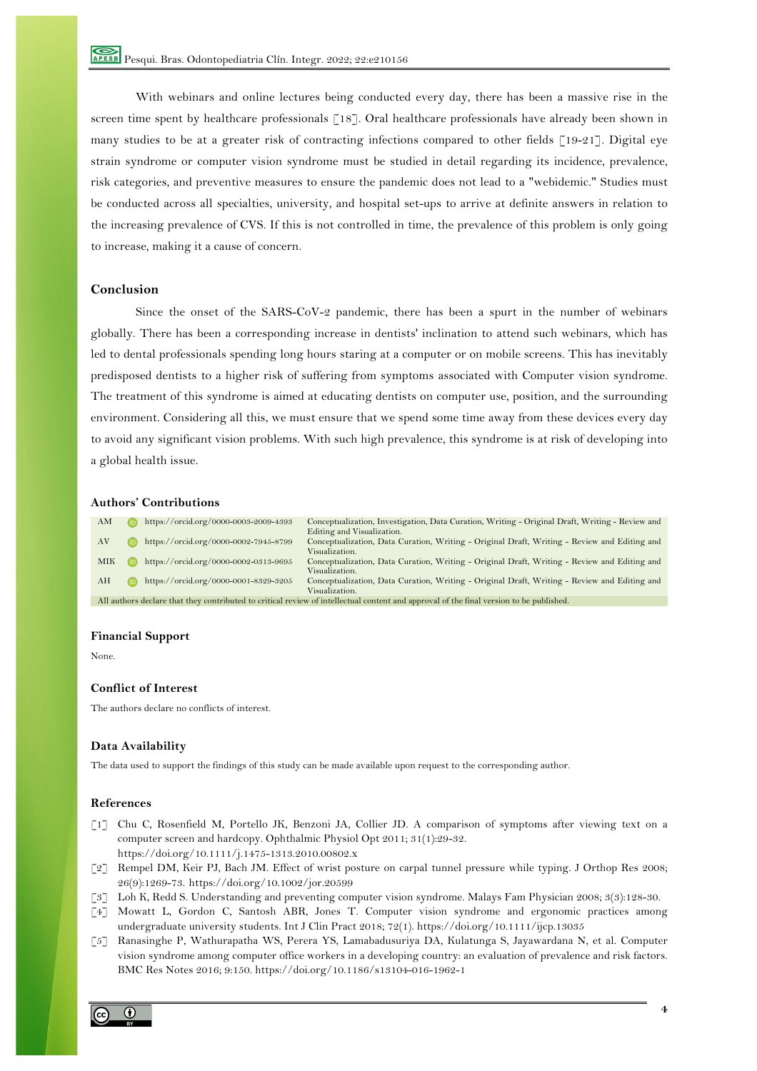With webinars and online lectures being conducted every day, there has been a massive rise in the screen time spent by healthcare professionals [18]. Oral healthcare professionals have already been shown in many studies to be at a greater risk of contracting infections compared to other fields [19-21]. Digital eye strain syndrome or computer vision syndrome must be studied in detail regarding its incidence, prevalence, risk categories, and preventive measures to ensure the pandemic does not lead to a "webidemic." Studies must be conducted across all specialties, university, and hospital set-ups to arrive at definite answers in relation to the increasing prevalence of CVS. If this is not controlled in time, the prevalence of this problem is only going to increase, making it a cause of concern.

## **Conclusion**

Since the onset of the SARS-CoV-2 pandemic, there has been a spurt in the number of webinars globally. There has been a corresponding increase in dentists' inclination to attend such webinars, which has led to dental professionals spending long hours staring at a computer or on mobile screens. This has inevitably predisposed dentists to a higher risk of suffering from symptoms associated with Computer vision syndrome. The treatment of this syndrome is aimed at educating dentists on computer use, position, and the surrounding environment. Considering all this, we must ensure that we spend some time away from these devices every day to avoid any significant vision problems. With such high prevalence, this syndrome is at risk of developing into a global health issue.

### **Authors' Contributions**

| AM                                                                                                                                      |  | https://orcid.org/0000-0003-2009-4393 | Conceptualization, Investigation, Data Curation, Writing - Original Draft, Writing - Review and |
|-----------------------------------------------------------------------------------------------------------------------------------------|--|---------------------------------------|-------------------------------------------------------------------------------------------------|
|                                                                                                                                         |  |                                       | Editing and Visualization.                                                                      |
| AV                                                                                                                                      |  | https://orcid.org/0000-0002-7945-8799 | Conceptualization, Data Curation, Writing - Original Draft, Writing - Review and Editing and    |
|                                                                                                                                         |  |                                       | Visualization.                                                                                  |
| <b>MIK</b>                                                                                                                              |  | https://orcid.org/0000-0002-0313-9695 | Conceptualization, Data Curation, Writing - Original Draft, Writing - Review and Editing and    |
|                                                                                                                                         |  |                                       | Visualization.                                                                                  |
| AH                                                                                                                                      |  | https://orcid.org/0000-0001-8329-3205 | Conceptualization, Data Curation, Writing - Original Draft, Writing - Review and Editing and    |
|                                                                                                                                         |  |                                       | Visualization.                                                                                  |
| All authors declare that they contributed to critical review of intellectual content and approval of the final version to be published. |  |                                       |                                                                                                 |

#### **Financial Support**

None.

### **Conflict of Interest**

The authors declare no conflicts of interest.

### **Data Availability**

The data used to support the findings of this study can be made available upon request to the corresponding author.

### **References**

- [1] Chu C, Rosenfield M, Portello JK, Benzoni JA, Collier JD. A comparison of symptoms after viewing text on a computer screen and hardcopy. Ophthalmic Physiol Opt 2011; 31(1):29-32. https://doi.org/10.1111/j.1475-1313.2010.00802.x
- [2] Rempel DM, Keir PJ, Bach JM. Effect of wrist posture on carpal tunnel pressure while typing. J Orthop Res 2008; 26(9):1269-73. https://doi.org/10.1002/jor.20599
- [3] Loh K, Redd S. Understanding and preventing computer vision syndrome. Malays Fam Physician 2008; 3(3):128-30.
- [4] Mowatt L, Gordon C, Santosh ABR, Jones T. Computer vision syndrome and ergonomic practices among undergraduate university students. Int J Clin Pract 2018; 72(1). https://doi.org/10.1111/ijcp.13035
- [5] Ranasinghe P, Wathurapatha WS, Perera YS, Lamabadusuriya DA, Kulatunga S, Jayawardana N, et al. Computer vision syndrome among computer office workers in a developing country: an evaluation of prevalence and risk factors. BMC Res Notes 2016; 9:150. https://doi.org/10.1186/s13104-016-1962-1